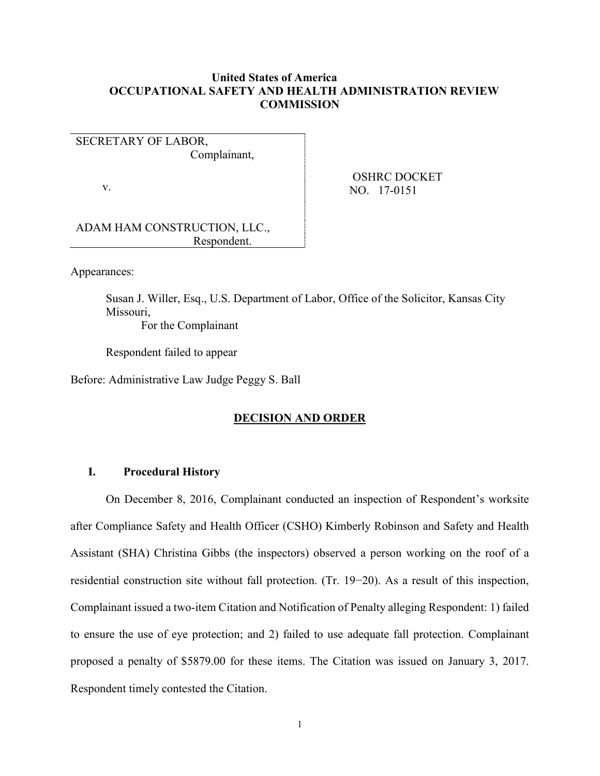# **United States of America OCCUPATIONAL SAFETY AND HEALTH ADMINISTRATION REVIEW COMMISSION**

# SECRETARY OF LABOR, Complainant,

v.

 OSHRC DOCKET NO. 17-0151

ADAM HAM CONSTRUCTION, LLC., Respondent.

Appearances:

Susan J. Willer, Esq., U.S. Department of Labor, Office of the Solicitor, Kansas City Missouri, For the Complainant

Respondent failed to appear

Before: Administrative Law Judge Peggy S. Ball

# **DECISION AND ORDER**

## **I. Procedural History**

On December 8, 2016, Complainant conducted an inspection of Respondent's worksite after Compliance Safety and Health Officer (CSHO) Kimberly Robinson and Safety and Health Assistant (SHA) Christina Gibbs (the inspectors) observed a person working on the roof of a residential construction site without fall protection. (Tr. 19−20). As a result of this inspection, Complainant issued a two-item Citation and Notification of Penalty alleging Respondent: 1) failed to ensure the use of eye protection; and 2) failed to use adequate fall protection. Complainant proposed a penalty of \$5879.00 for these items. The Citation was issued on January 3, 2017. Respondent timely contested the Citation.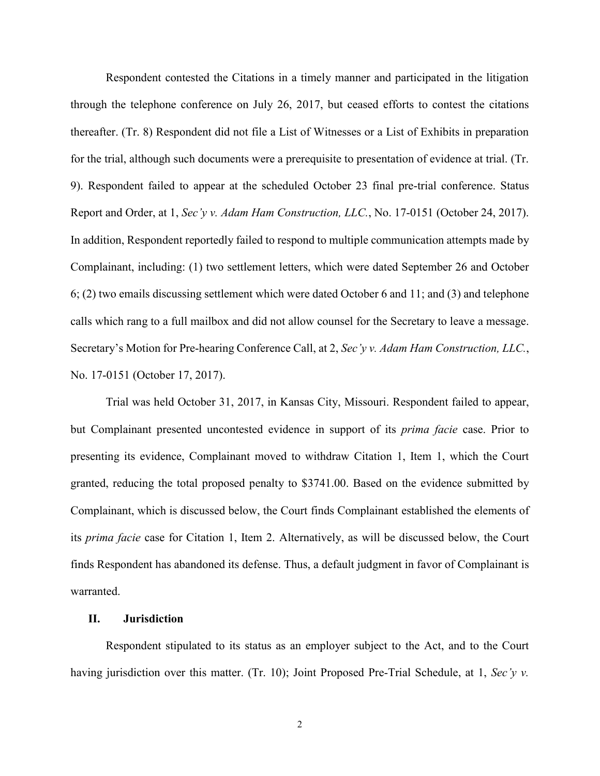Respondent contested the Citations in a timely manner and participated in the litigation through the telephone conference on July 26, 2017, but ceased efforts to contest the citations thereafter. (Tr. 8) Respondent did not file a List of Witnesses or a List of Exhibits in preparation for the trial, although such documents were a prerequisite to presentation of evidence at trial. (Tr. 9). Respondent failed to appear at the scheduled October 23 final pre-trial conference. Status Report and Order, at 1, *Sec'y v. Adam Ham Construction, LLC.*, No. 17-0151 (October 24, 2017). In addition, Respondent reportedly failed to respond to multiple communication attempts made by Complainant, including: (1) two settlement letters, which were dated September 26 and October 6; (2) two emails discussing settlement which were dated October 6 and 11; and (3) and telephone calls which rang to a full mailbox and did not allow counsel for the Secretary to leave a message. Secretary's Motion for Pre-hearing Conference Call, at 2, *Sec'y v. Adam Ham Construction, LLC.*, No. 17-0151 (October 17, 2017).

Trial was held October 31, 2017, in Kansas City, Missouri. Respondent failed to appear, but Complainant presented uncontested evidence in support of its *prima facie* case. Prior to presenting its evidence, Complainant moved to withdraw Citation 1, Item 1, which the Court granted, reducing the total proposed penalty to \$3741.00. Based on the evidence submitted by Complainant, which is discussed below, the Court finds Complainant established the elements of its *prima facie* case for Citation 1, Item 2. Alternatively, as will be discussed below, the Court finds Respondent has abandoned its defense. Thus, a default judgment in favor of Complainant is warranted.

### **II. Jurisdiction**

Respondent stipulated to its status as an employer subject to the Act, and to the Court having jurisdiction over this matter. (Tr. 10); Joint Proposed Pre-Trial Schedule, at 1, *Sec'y v.*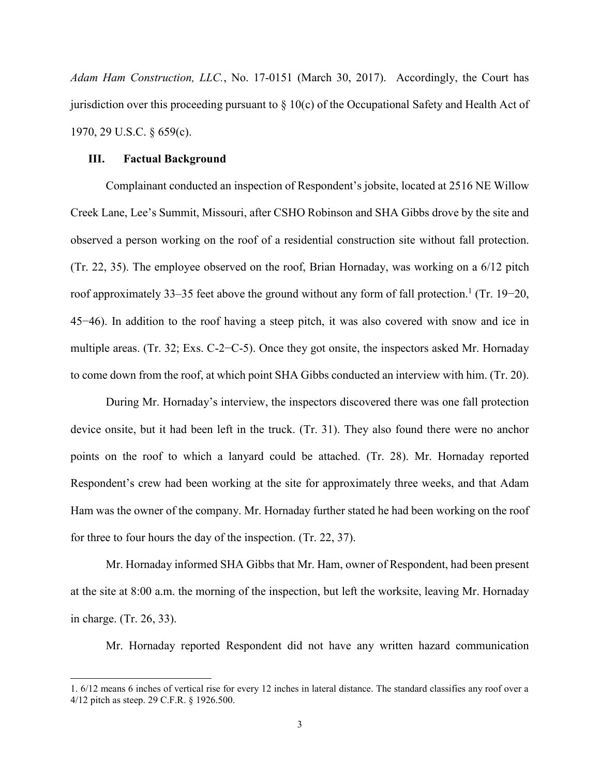*Adam Ham Construction, LLC.*, No. 17-0151 (March 30, 2017). Accordingly, the Court has jurisdiction over this proceeding pursuant to  $\S 10(c)$  of the Occupational Safety and Health Act of 1970, 29 U.S.C. § 659(c).

#### **III. Factual Background**

 $\overline{a}$ 

Complainant conducted an inspection of Respondent's jobsite, located at 2516 NE Willow Creek Lane, Lee's Summit, Missouri, after CSHO Robinson and SHA Gibbs drove by the site and observed a person working on the roof of a residential construction site without fall protection. (Tr. 22, 35). The employee observed on the roof, Brian Hornaday, was working on a 6/12 pitch roof approximately 33–35 feet above the ground without any form of fall protection. 1 (Tr. 19−20, 45−46). In addition to the roof having a steep pitch, it was also covered with snow and ice in multiple areas. (Tr. 32; Exs. C-2−C-5). Once they got onsite, the inspectors asked Mr. Hornaday to come down from the roof, at which point SHA Gibbs conducted an interview with him. (Tr. 20).

During Mr. Hornaday's interview, the inspectors discovered there was one fall protection device onsite, but it had been left in the truck. (Tr. 31). They also found there were no anchor points on the roof to which a lanyard could be attached. (Tr. 28). Mr. Hornaday reported Respondent's crew had been working at the site for approximately three weeks, and that Adam Ham was the owner of the company. Mr. Hornaday further stated he had been working on the roof for three to four hours the day of the inspection. (Tr. 22, 37).

Mr. Hornaday informed SHA Gibbs that Mr. Ham, owner of Respondent, had been present at the site at 8:00 a.m. the morning of the inspection, but left the worksite, leaving Mr. Hornaday in charge. (Tr. 26, 33).

Mr. Hornaday reported Respondent did not have any written hazard communication

<sup>1.</sup> 6/12 means 6 inches of vertical rise for every 12 inches in lateral distance. The standard classifies any roof over a 4/12 pitch as steep. 29 C.F.R. § 1926.500.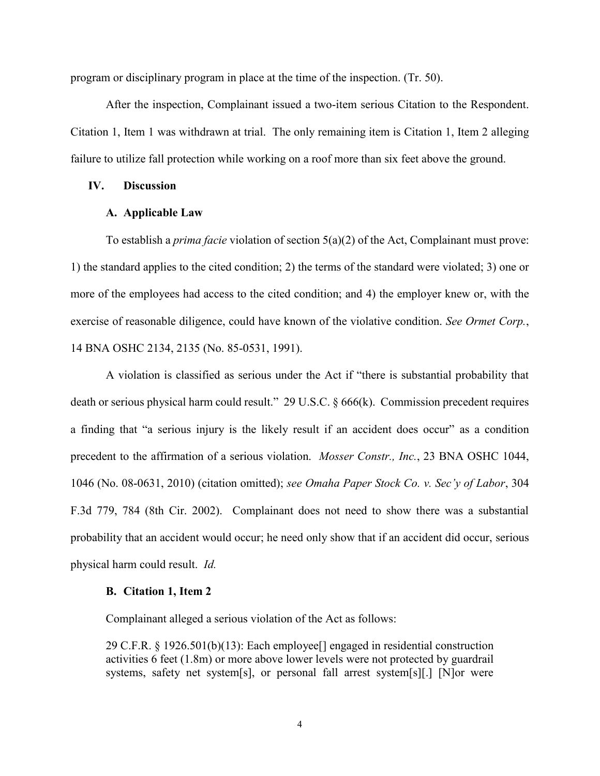program or disciplinary program in place at the time of the inspection. (Tr. 50).

After the inspection, Complainant issued a two-item serious Citation to the Respondent. Citation 1, Item 1 was withdrawn at trial. The only remaining item is Citation 1, Item 2 alleging failure to utilize fall protection while working on a roof more than six feet above the ground.

# **IV. Discussion**

## **A. Applicable Law**

To establish a *prima facie* violation of section 5(a)(2) of the Act, Complainant must prove: 1) the standard applies to the cited condition; 2) the terms of the standard were violated; 3) one or more of the employees had access to the cited condition; and 4) the employer knew or, with the exercise of reasonable diligence, could have known of the violative condition. *See Ormet Corp.*, 14 BNA OSHC 2134, 2135 (No. 85-0531, 1991).

A violation is classified as serious under the Act if "there is substantial probability that death or serious physical harm could result." 29 U.S.C. § 666(k). Commission precedent requires a finding that "a serious injury is the likely result if an accident does occur" as a condition precedent to the affirmation of a serious violation. *Mosser Constr., Inc.*, 23 BNA OSHC 1044, 1046 (No. 08-0631, 2010) (citation omitted); *see Omaha Paper Stock Co. v. Sec'y of Labor*, 304 F.3d 779, 784 (8th Cir. 2002). Complainant does not need to show there was a substantial probability that an accident would occur; he need only show that if an accident did occur, serious physical harm could result. *Id.*

#### **B. Citation 1, Item 2**

Complainant alleged a serious violation of the Act as follows:

29 C.F.R. § 1926.501(b)(13): Each employee[] engaged in residential construction activities 6 feet (1.8m) or more above lower levels were not protected by guardrail systems, safety net system[s], or personal fall arrest system[s][.] [N]or were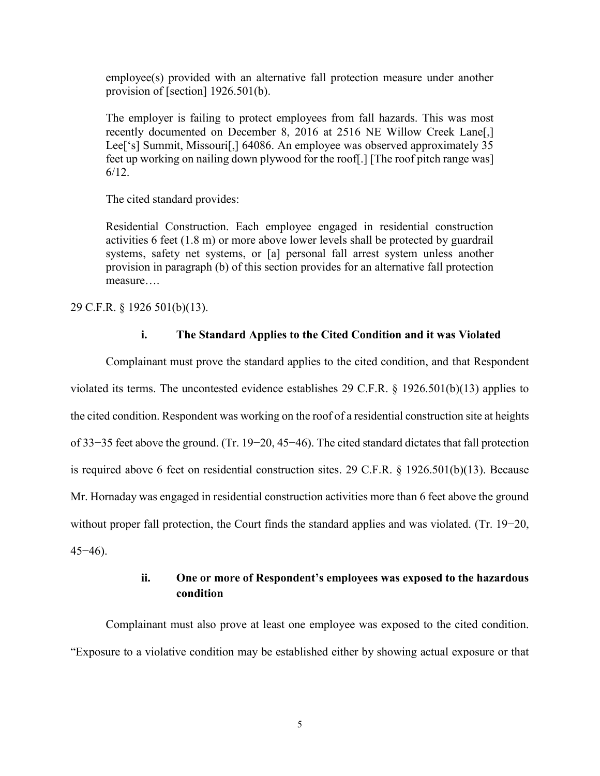employee(s) provided with an alternative fall protection measure under another provision of [section] 1926.501(b).

The employer is failing to protect employees from fall hazards. This was most recently documented on December 8, 2016 at 2516 NE Willow Creek Lane[,] Lee<sup>['s]</sup> Summit, Missouri<sup>[']</sup>,] 64086. An employee was observed approximately 35 feet up working on nailing down plywood for the roof[.] [The roof pitch range was] 6/12.

The cited standard provides:

Residential Construction. Each employee engaged in residential construction activities 6 feet (1.8 m) or more above lower levels shall be protected by guardrail systems, safety net systems, or [a] personal fall arrest system unless another provision in paragraph (b) of this section provides for an alternative fall protection measure….

29 C.F.R. § 1926 501(b)(13).

### **i. The Standard Applies to the Cited Condition and it was Violated**

Complainant must prove the standard applies to the cited condition, and that Respondent violated its terms. The uncontested evidence establishes 29 C.F.R. § 1926.501(b)(13) applies to the cited condition. Respondent was working on the roof of a residential construction site at heights of 33−35 feet above the ground. (Tr. 19−20, 45−46). The cited standard dictates that fall protection is required above 6 feet on residential construction sites. 29 C.F.R. § 1926.501(b)(13). Because Mr. Hornaday was engaged in residential construction activities more than 6 feet above the ground without proper fall protection, the Court finds the standard applies and was violated. (Tr. 19−20, 45−46).

# **ii. One or more of Respondent's employees was exposed to the hazardous condition**

Complainant must also prove at least one employee was exposed to the cited condition. "Exposure to a violative condition may be established either by showing actual exposure or that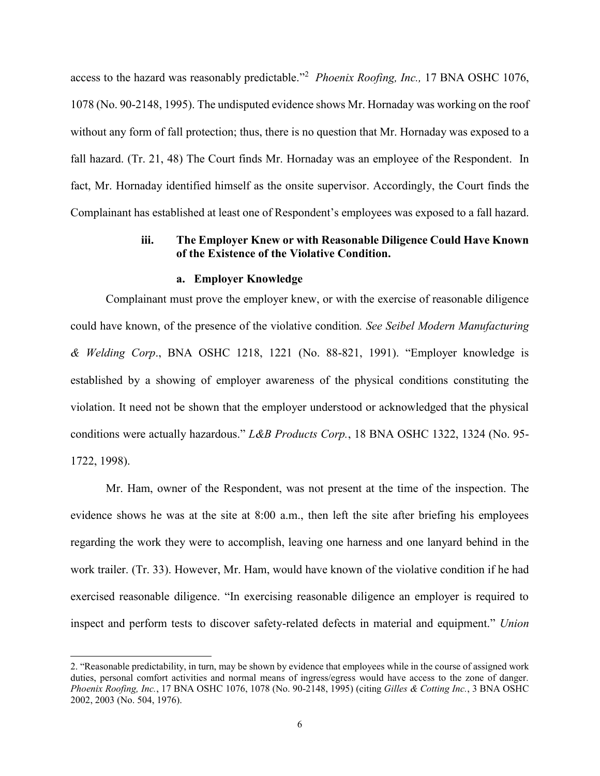access to the hazard was reasonably predictable." 2 *Phoenix Roofing, Inc.,* 17 BNA OSHC 1076, 1078 (No. 90-2148, 1995). The undisputed evidence shows Mr. Hornaday was working on the roof without any form of fall protection; thus, there is no question that Mr. Hornaday was exposed to a fall hazard. (Tr. 21, 48) The Court finds Mr. Hornaday was an employee of the Respondent. In fact, Mr. Hornaday identified himself as the onsite supervisor. Accordingly, the Court finds the Complainant has established at least one of Respondent's employees was exposed to a fall hazard.

# **iii. The Employer Knew or with Reasonable Diligence Could Have Known of the Existence of the Violative Condition.**

#### **a. Employer Knowledge**

Complainant must prove the employer knew, or with the exercise of reasonable diligence could have known, of the presence of the violative condition*. See Seibel Modern Manufacturing & Welding Corp*., BNA OSHC 1218, 1221 (No. 88-821, 1991). "Employer knowledge is established by a showing of employer awareness of the physical conditions constituting the violation. It need not be shown that the employer understood or acknowledged that the physical conditions were actually hazardous." *L&B Products Corp.*, 18 BNA OSHC 1322, 1324 (No. 95- 1722, 1998).

Mr. Ham, owner of the Respondent, was not present at the time of the inspection. The evidence shows he was at the site at 8:00 a.m., then left the site after briefing his employees regarding the work they were to accomplish, leaving one harness and one lanyard behind in the work trailer. (Tr. 33). However, Mr. Ham, would have known of the violative condition if he had exercised reasonable diligence. "In exercising reasonable diligence an employer is required to inspect and perform tests to discover safety-related defects in material and equipment." *Union* 

 $\overline{a}$ 

<sup>2. &</sup>quot;Reasonable predictability, in turn, may be shown by evidence that employees while in the course of assigned work duties, personal comfort activities and normal means of ingress/egress would have access to the zone of danger. *Phoenix Roofing, Inc.*, 17 BNA OSHC 1076, 1078 (No. 90-2148, 1995) (citing *Gilles & Cotting Inc.*, 3 BNA OSHC 2002, 2003 (No. 504, 1976).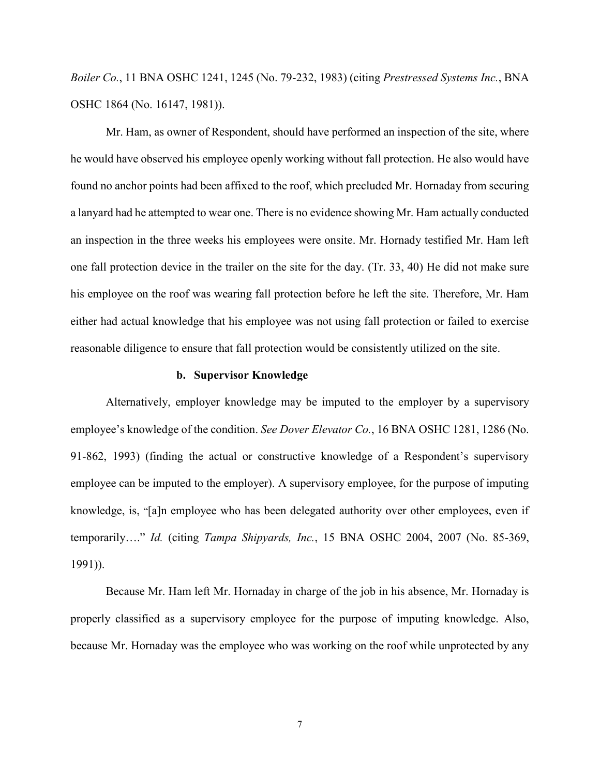*Boiler Co.*, 11 BNA OSHC 1241, 1245 (No. 79-232, 1983) (citing *Prestressed Systems Inc.*, BNA OSHC 1864 (No. 16147, 1981)).

Mr. Ham, as owner of Respondent, should have performed an inspection of the site, where he would have observed his employee openly working without fall protection. He also would have found no anchor points had been affixed to the roof, which precluded Mr. Hornaday from securing a lanyard had he attempted to wear one. There is no evidence showing Mr. Ham actually conducted an inspection in the three weeks his employees were onsite. Mr. Hornady testified Mr. Ham left one fall protection device in the trailer on the site for the day. (Tr. 33, 40) He did not make sure his employee on the roof was wearing fall protection before he left the site. Therefore, Mr. Ham either had actual knowledge that his employee was not using fall protection or failed to exercise reasonable diligence to ensure that fall protection would be consistently utilized on the site.

### **b. Supervisor Knowledge**

Alternatively, employer knowledge may be imputed to the employer by a supervisory employee's knowledge of the condition. *See Dover Elevator Co.*, 16 BNA OSHC 1281, 1286 (No. 91-862, 1993) (finding the actual or constructive knowledge of a Respondent's supervisory employee can be imputed to the employer). A supervisory employee, for the purpose of imputing knowledge, is, "[a]n employee who has been delegated authority over other employees, even if temporarily…." *Id.* (citing *Tampa Shipyards, Inc.*, 15 BNA OSHC 2004, 2007 (No. 85-369, 1991)).

Because Mr. Ham left Mr. Hornaday in charge of the job in his absence, Mr. Hornaday is properly classified as a supervisory employee for the purpose of imputing knowledge. Also, because Mr. Hornaday was the employee who was working on the roof while unprotected by any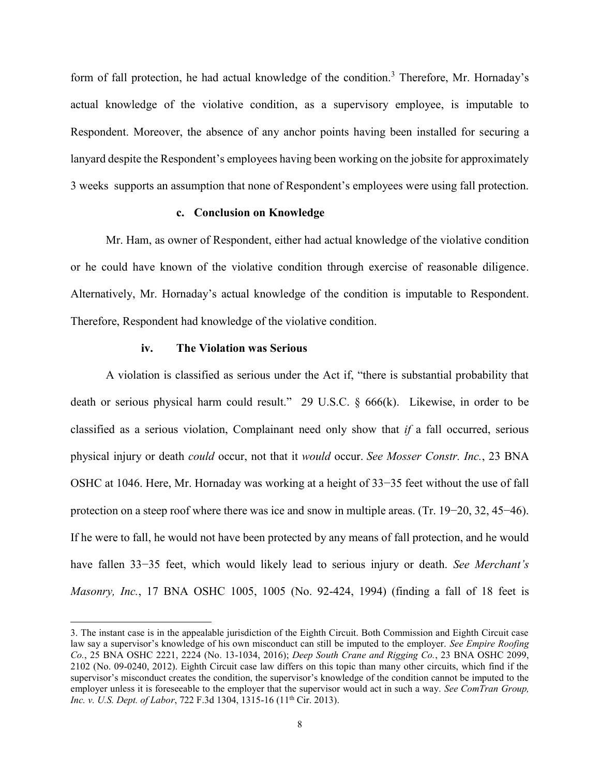form of fall protection, he had actual knowledge of the condition.<sup>3</sup> Therefore, Mr. Hornaday's actual knowledge of the violative condition, as a supervisory employee, is imputable to Respondent. Moreover, the absence of any anchor points having been installed for securing a lanyard despite the Respondent's employees having been working on the jobsite for approximately 3 weeks supports an assumption that none of Respondent's employees were using fall protection.

## **c. Conclusion on Knowledge**

Mr. Ham, as owner of Respondent, either had actual knowledge of the violative condition or he could have known of the violative condition through exercise of reasonable diligence. Alternatively, Mr. Hornaday's actual knowledge of the condition is imputable to Respondent. Therefore, Respondent had knowledge of the violative condition.

#### **iv. The Violation was Serious**

 $\overline{a}$ 

A violation is classified as serious under the Act if, "there is substantial probability that death or serious physical harm could result." 29 U.S.C. § 666(k). Likewise, in order to be classified as a serious violation, Complainant need only show that *if* a fall occurred, serious physical injury or death *could* occur, not that it *would* occur. *See Mosser Constr. Inc.*, 23 BNA OSHC at 1046. Here, Mr. Hornaday was working at a height of 33−35 feet without the use of fall protection on a steep roof where there was ice and snow in multiple areas. (Tr. 19−20, 32, 45−46). If he were to fall, he would not have been protected by any means of fall protection, and he would have fallen 33−35 feet, which would likely lead to serious injury or death. *See Merchant's Masonry, Inc.*, 17 BNA OSHC 1005, 1005 (No. 92-424, 1994) (finding a fall of 18 feet is

<sup>3.</sup> The instant case is in the appealable jurisdiction of the Eighth Circuit. Both Commission and Eighth Circuit case law say a supervisor's knowledge of his own misconduct can still be imputed to the employer. *See Empire Roofing Co.*, 25 BNA OSHC 2221, 2224 (No. 13-1034, 2016); *Deep South Crane and Rigging Co.*, 23 BNA OSHC 2099, 2102 (No. 09-0240, 2012). Eighth Circuit case law differs on this topic than many other circuits, which find if the supervisor's misconduct creates the condition, the supervisor's knowledge of the condition cannot be imputed to the employer unless it is foreseeable to the employer that the supervisor would act in such a way. *See ComTran Group, Inc. v. U.S. Dept. of Labor*, 722 F.3d 1304, 1315-16 (11<sup>th</sup> Cir. 2013).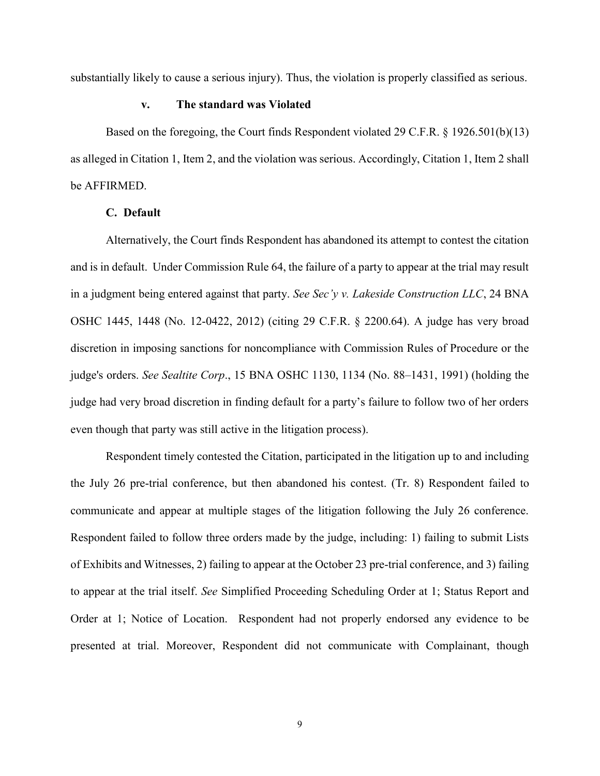substantially likely to cause a serious injury). Thus, the violation is properly classified as serious.

### **v. The standard was Violated**

Based on the foregoing, the Court finds Respondent violated 29 C.F.R. § 1926.501(b)(13) as alleged in Citation 1, Item 2, and the violation was serious. Accordingly, Citation 1, Item 2 shall be AFFIRMED.

## **C. Default**

Alternatively, the Court finds Respondent has abandoned its attempt to contest the citation and is in default. Under Commission Rule 64, the failure of a party to appear at the trial may result in a judgment being entered against that party. *See Sec'y v. Lakeside Construction LLC*, 24 BNA OSHC 1445, 1448 (No. 12-0422, 2012) (citing 29 C.F.R. § 2200.64). A judge has very broad discretion in imposing sanctions for noncompliance with Commission Rules of Procedure or the judge's orders. *See Sealtite Corp*., 15 BNA OSHC 1130, 1134 (No. 88–1431, 1991) (holding the judge had very broad discretion in finding default for a party's failure to follow two of her orders even though that party was still active in the litigation process).

Respondent timely contested the Citation, participated in the litigation up to and including the July 26 pre-trial conference, but then abandoned his contest. (Tr. 8) Respondent failed to communicate and appear at multiple stages of the litigation following the July 26 conference. Respondent failed to follow three orders made by the judge, including: 1) failing to submit Lists of Exhibits and Witnesses, 2) failing to appear at the October 23 pre-trial conference, and 3) failing to appear at the trial itself. *See* Simplified Proceeding Scheduling Order at 1; Status Report and Order at 1; Notice of Location. Respondent had not properly endorsed any evidence to be presented at trial. Moreover, Respondent did not communicate with Complainant, though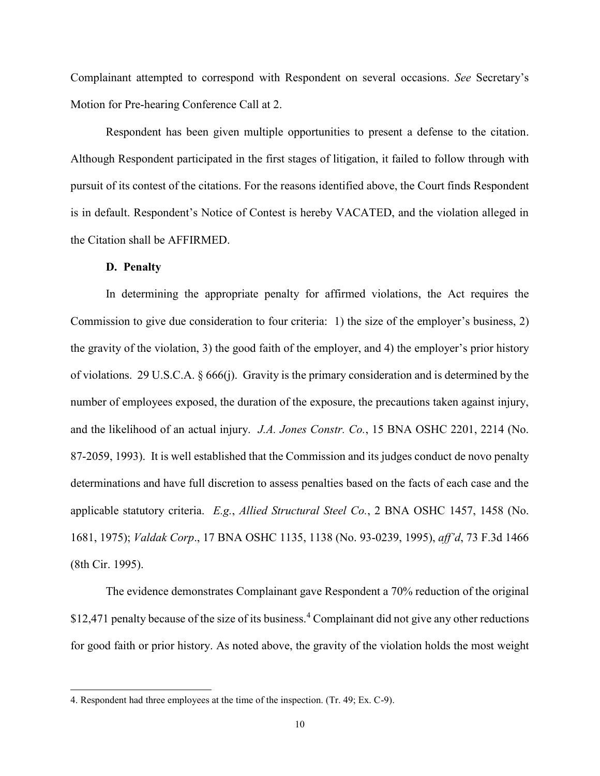Complainant attempted to correspond with Respondent on several occasions. *See* Secretary's Motion for Pre-hearing Conference Call at 2.

Respondent has been given multiple opportunities to present a defense to the citation. Although Respondent participated in the first stages of litigation, it failed to follow through with pursuit of its contest of the citations. For the reasons identified above, the Court finds Respondent is in default. Respondent's Notice of Contest is hereby VACATED, and the violation alleged in the Citation shall be AFFIRMED.

## **D. Penalty**

 $\overline{a}$ 

In determining the appropriate penalty for affirmed violations, the Act requires the Commission to give due consideration to four criteria: 1) the size of the employer's business, 2) the gravity of the violation, 3) the good faith of the employer, and 4) the employer's prior history of violations. 29 U.S.C.A. § 666(j). Gravity is the primary consideration and is determined by the number of employees exposed, the duration of the exposure, the precautions taken against injury, and the likelihood of an actual injury. *J.A. Jones Constr. Co.*, 15 BNA OSHC 2201, 2214 (No. 87-2059, 1993). It is well established that the Commission and its judges conduct de novo penalty determinations and have full discretion to assess penalties based on the facts of each case and the applicable statutory criteria. *E.g.*, *Allied Structural Steel Co.*, 2 BNA OSHC 1457, 1458 (No. 1681, 1975); *Valdak Corp*., 17 BNA OSHC 1135, 1138 (No. 93-0239, 1995), *aff'd*, 73 F.3d 1466 (8th Cir. 1995).

The evidence demonstrates Complainant gave Respondent a 70% reduction of the original \$12,471 penalty because of the size of its business.<sup>4</sup> Complainant did not give any other reductions for good faith or prior history. As noted above, the gravity of the violation holds the most weight

<sup>4.</sup> Respondent had three employees at the time of the inspection. (Tr. 49; Ex. C-9).